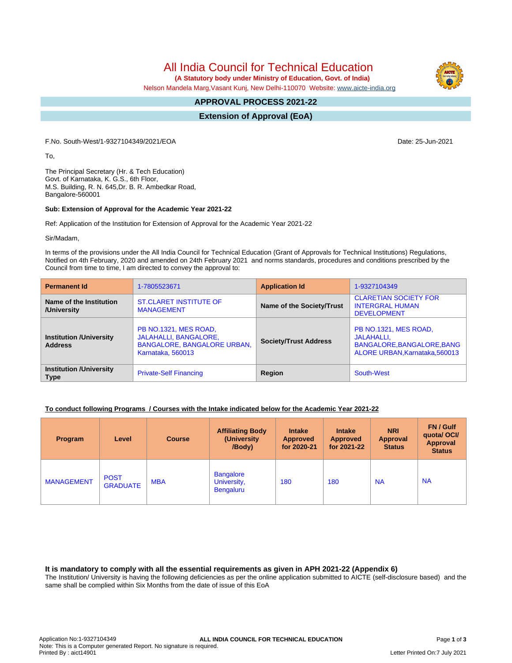All India Council for Technical Education

 **(A Statutory body under Ministry of Education, Govt. of India)**

Nelson Mandela Marg,Vasant Kunj, New Delhi-110070 Website: [www.aicte-india.org](http://www.aicte-india.org)

#### **APPROVAL PROCESS 2021-22 -**

**Extension of Approval (EoA)**

F.No. South-West/1-9327104349/2021/EOA Date: 25-Jun-2021

To,

The Principal Secretary (Hr. & Tech Education) Govt. of Karnataka, K. G.S., 6th Floor, M.S. Building, R. N. 645,Dr. B. R. Ambedkar Road, Bangalore-560001

### **Sub: Extension of Approval for the Academic Year 2021-22**

Ref: Application of the Institution for Extension of Approval for the Academic Year 2021-22

Sir/Madam,

In terms of the provisions under the All India Council for Technical Education (Grant of Approvals for Technical Institutions) Regulations, Notified on 4th February, 2020 and amended on 24th February 2021 and norms standards, procedures and conditions prescribed by the Council from time to time, I am directed to convey the approval to:

| <b>Permanent Id</b>                              | 1-7805523671                                                                                                     | <b>Application Id</b>        | 1-9327104349                                                                                        |  |
|--------------------------------------------------|------------------------------------------------------------------------------------------------------------------|------------------------------|-----------------------------------------------------------------------------------------------------|--|
| Name of the Institution<br>/University           | <b>ST.CLARET INSTITUTE OF</b><br><b>MANAGEMENT</b>                                                               | Name of the Society/Trust    | <b>CLARETIAN SOCIETY FOR</b><br><b>INTERGRAL HUMAN</b><br><b>DEVELOPMENT</b>                        |  |
| <b>Institution /University</b><br><b>Address</b> | PB NO.1321, MES ROAD,<br><b>JALAHALLI, BANGALORE,</b><br><b>BANGALORE, BANGALORE URBAN,</b><br>Karnataka, 560013 | <b>Society/Trust Address</b> | PB NO.1321, MES ROAD,<br>JALAHALLI.<br>BANGALORE, BANGALORE, BANG<br>ALORE URBAN, Karnataka, 560013 |  |
| <b>Institution /University</b><br><b>Type</b>    | <b>Private-Self Financing</b>                                                                                    | Region                       | South-West                                                                                          |  |

### **To conduct following Programs / Courses with the Intake indicated below for the Academic Year 2021-22**

| <b>Program</b>    | Level                          | <b>Course</b> | <b>Affiliating Body</b><br>(University<br>/Body)    | <b>Intake</b><br><b>Approved</b><br>for 2020-21 | <b>Intake</b><br><b>Approved</b><br>for 2021-22 | <b>NRI</b><br><b>Approval</b><br><b>Status</b> | FN / Gulf<br>quotal OCI/<br>Approval<br><b>Status</b> |
|-------------------|--------------------------------|---------------|-----------------------------------------------------|-------------------------------------------------|-------------------------------------------------|------------------------------------------------|-------------------------------------------------------|
| <b>MANAGEMENT</b> | <b>POST</b><br><b>GRADUATE</b> | <b>MBA</b>    | <b>Bangalore</b><br>University,<br><b>Bengaluru</b> | 180                                             | 180                                             | <b>NA</b>                                      | <b>NA</b>                                             |

**It is mandatory to comply with all the essential requirements as given in APH 2021-22 (Appendix 6)**

The Institution/ University is having the following deficiencies as per the online application submitted to AICTE (self-disclosure based) and the same shall be complied within Six Months from the date of issue of this EoA

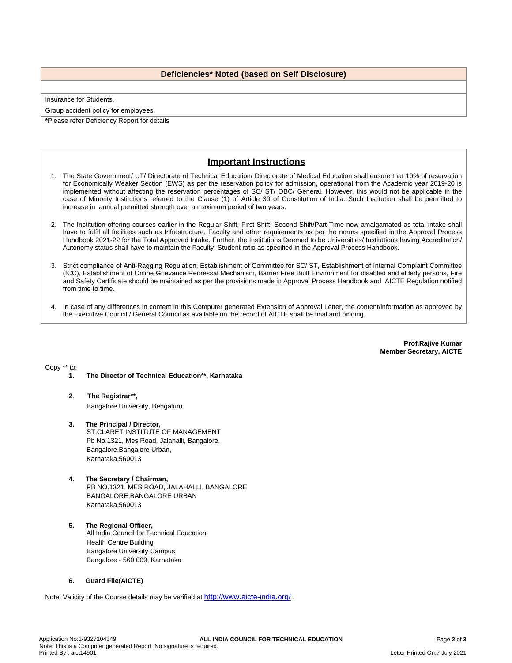## **Deficiencies\* Noted (based on Self Disclosure)**

Insurance for Students.

Group accident policy for employees.

**\***Please refer Deficiency Report for details

# **Important Instructions**

- 1. The State Government/ UT/ Directorate of Technical Education/ Directorate of Medical Education shall ensure that 10% of reservation for Economically Weaker Section (EWS) as per the reservation policy for admission, operational from the Academic year 2019-20 is implemented without affecting the reservation percentages of SC/ ST/ OBC/ General. However, this would not be applicable in the case of Minority Institutions referred to the Clause (1) of Article 30 of Constitution of India. Such Institution shall be permitted to increase in annual permitted strength over a maximum period of two years.
- 2. The Institution offering courses earlier in the Regular Shift, First Shift, Second Shift/Part Time now amalgamated as total intake shall have to fulfil all facilities such as Infrastructure, Faculty and other requirements as per the norms specified in the Approval Process Handbook 2021-22 for the Total Approved Intake. Further, the Institutions Deemed to be Universities/ Institutions having Accreditation/ Autonomy status shall have to maintain the Faculty: Student ratio as specified in the Approval Process Handbook.
- 3. Strict compliance of Anti-Ragging Regulation, Establishment of Committee for SC/ ST, Establishment of Internal Complaint Committee (ICC), Establishment of Online Grievance Redressal Mechanism, Barrier Free Built Environment for disabled and elderly persons, Fire and Safety Certificate should be maintained as per the provisions made in Approval Process Handbook and AICTE Regulation notified from time to time.
- 4. In case of any differences in content in this Computer generated Extension of Approval Letter, the content/information as approved by the Executive Council / General Council as available on the record of AICTE shall be final and binding.

**Prof.Rajive Kumar Member Secretary, AICTE**

Copy \*\* to:

- **1. The Director of Technical Education\*\*, Karnataka**
- **2**. **The Registrar\*\*,** Bangalore University, Bengaluru
- **3. The Principal / Director,** ST.CLARET INSTITUTE OF MANAGEMENT Pb No.1321, Mes Road, Jalahalli, Bangalore, Bangalore,Bangalore Urban, Karnataka,560013
- **4. The Secretary / Chairman,** PB NO.1321, MES ROAD, JALAHALLI, BANGALORE BANGALORE,BANGALORE URBAN Karnataka,560013
- **5. The Regional Officer,** All India Council for Technical Education Health Centre Building Bangalore University Campus Bangalore - 560 009, Karnataka

### **6. Guard File(AICTE)**

Note: Validity of the Course details may be verified at <http://www.aicte-india.org/> **.**